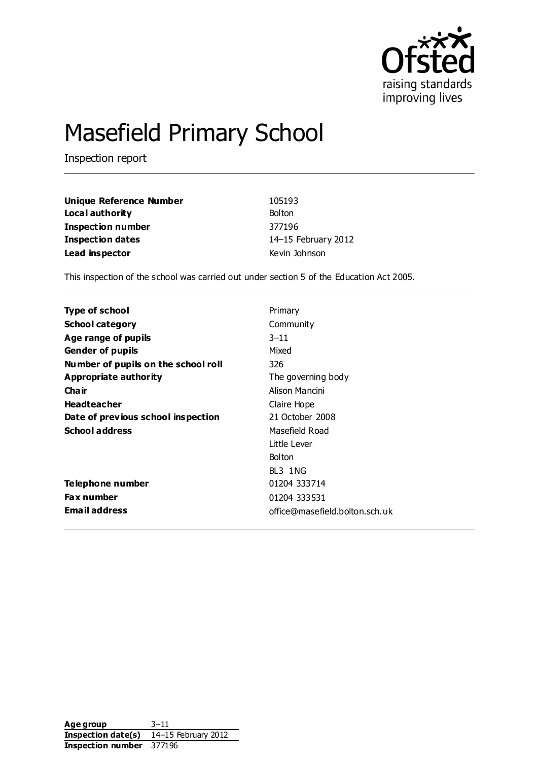

# Masefield Primary School

Inspection report

| Unique Reference Number  | 105193              |
|--------------------------|---------------------|
| Local authority          | <b>Bolton</b>       |
| <b>Inspection number</b> | 377196              |
| <b>Inspection dates</b>  | 14-15 February 2012 |
| Lead inspector           | Kevin Johnson       |

This inspection of the school was carried out under section 5 of the Education Act 2005.

| <b>Type of school</b>               | Primary                        |
|-------------------------------------|--------------------------------|
| <b>School category</b>              | Community                      |
| Age range of pupils                 | $3 - 11$                       |
| <b>Gender of pupils</b>             | Mixed                          |
| Number of pupils on the school roll | 326                            |
| Appropriate authority               | The governing body             |
| Cha ir                              | Alison Mancini                 |
| <b>Headteacher</b>                  | Claire Hope                    |
| Date of previous school inspection  | 21 October 2008                |
| <b>School address</b>               | Masefield Road                 |
|                                     | Little Lever                   |
|                                     | <b>Bolton</b>                  |
|                                     | BL3 1NG                        |
| Telephone number                    | 01204 333714                   |
| <b>Fax number</b>                   | 01204 333531                   |
| <b>Email address</b>                | office@masefield.bolton.sch.uk |

Age group 3-11 **Inspection date(s)** 14–15 February 2012 **Inspection number** 377196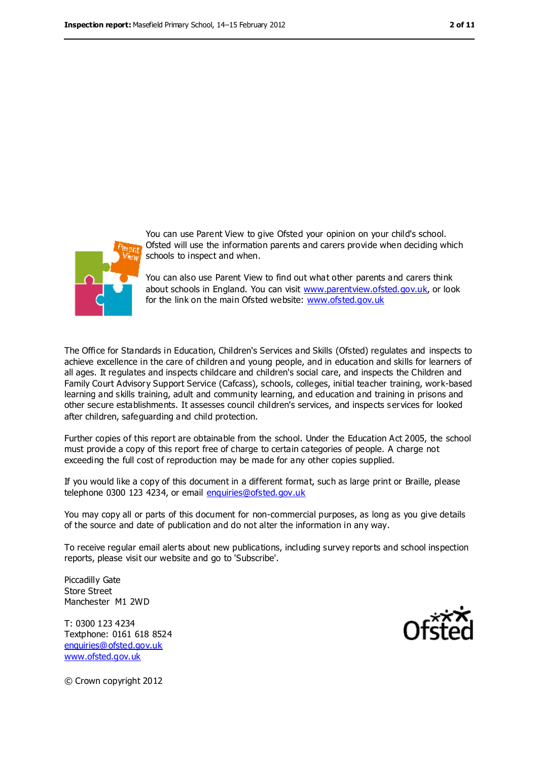



You can use Parent View to give Ofsted your opinion on your child's school. Ofsted will use the information parents and carers provide when deciding which schools to inspect and when.

You can also use Parent View to find out what other parents and carers think about schools in England. You can visit [www.parentview.ofsted.gov.uk,](file:///C:/Users/rcowley/AppData/Local/rcowley/AppData/Local/Temp/AppData/Local/Microsoft/Windows/Temporary%20Internet%20Files/Low/Content.IE5/AppData/Local/Microsoft/Windows/Temporary%20Internet%20Files/Low/Content.IE5/M7IGMZHT/www.parentview.ofsted.gov.uk) or look for the link on the main Ofsted website: [www.ofsted.gov.uk](file:///C:/Users/rcowley/AppData/Local/rcowley/AppData/Local/Temp/AppData/Local/Microsoft/Windows/Temporary%20Internet%20Files/Low/Content.IE5/AppData/Local/Microsoft/Windows/Temporary%20Internet%20Files/Low/Content.IE5/M7IGMZHT/www.ofsted.gov.uk)

The Office for Standards in Education, Children's Services and Skills (Ofsted) regulates and inspects to achieve excellence in the care of children and young people, and in education and skills for learners of all ages. It regulates and inspects childcare and children's social care, and inspects the Children and Family Court Advisory Support Service (Cafcass), schools, colleges, initial teacher training, work-based learning and skills training, adult and community learning, and education and training in prisons and other secure establishments. It assesses council children's services, and inspects services for looked after children, safeguarding and child protection.

Further copies of this report are obtainable from the school. Under the Education Act 2005, the school must provide a copy of this report free of charge to certain categories of people. A charge not exceeding the full cost of reproduction may be made for any other copies supplied.

If you would like a copy of this document in a different format, such as large print or Braille, please telephone 0300 123 4234, or email [enquiries@ofsted.gov.uk](mailto:enquiries@ofsted.gov.uk)

You may copy all or parts of this document for non-commercial purposes, as long as you give details of the source and date of publication and do not alter the information in any way.

To receive regular email alerts about new publications, including survey reports and school inspection reports, please visit our website and go to 'Subscribe'.

Piccadilly Gate Store Street Manchester M1 2WD

T: 0300 123 4234 Textphone: 0161 618 8524 [enquiries@ofsted.gov.uk](mailto:enquiries@ofsted.gov.uk) [www.ofsted.gov.uk](http://www.ofsted.gov.uk/)



© Crown copyright 2012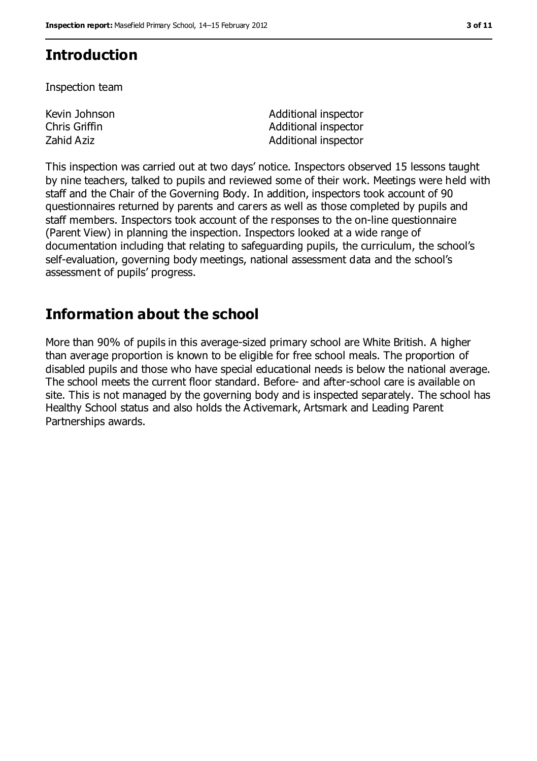### **Introduction**

Inspection team

Kevin Johnson Chris Griffin

Additional inspector Additional inspector Zahid Aziz **Additional inspector** Additional inspector

This inspection was carried out at two days' notice. Inspectors observed 15 lessons taught by nine teachers, talked to pupils and reviewed some of their work. Meetings were held with staff and the Chair of the Governing Body. In addition, inspectors took account of 90 questionnaires returned by parents and carers as well as those completed by pupils and staff members. Inspectors took account of the responses to the on-line questionnaire (Parent View) in planning the inspection. Inspectors looked at a wide range of documentation including that relating to safeguarding pupils, the curriculum, the school's self-evaluation, governing body meetings, national assessment data and the school's assessment of pupils' progress.

### **Information about the school**

More than 90% of pupils in this average-sized primary school are White British. A higher than average proportion is known to be eligible for free school meals. The proportion of disabled pupils and those who have special educational needs is below the national average. The school meets the current floor standard. Before- and after-school care is available on site. This is not managed by the governing body and is inspected separately. The school has Healthy School status and also holds the Activemark, Artsmark and Leading Parent Partnerships awards.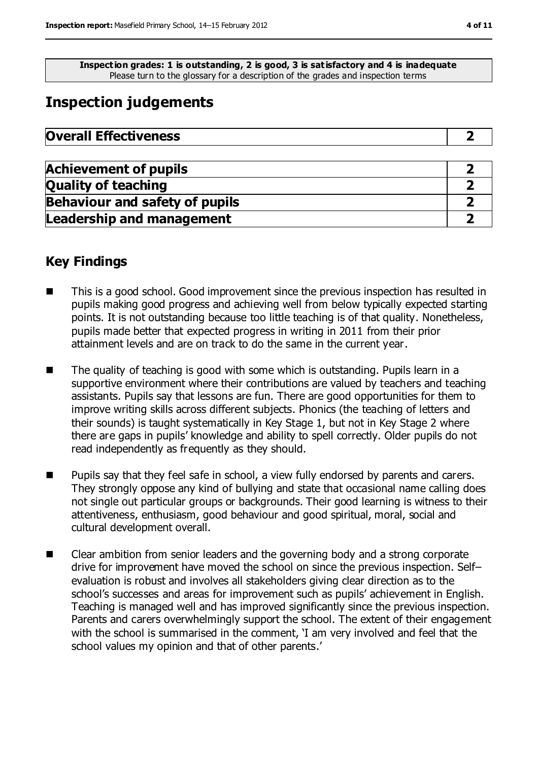**Inspection grades: 1 is outstanding, 2 is good, 3 is satisfactory and 4 is inadequate** Please turn to the glossary for a description of the grades and inspection terms

## **Inspection judgements**

| <b>Overall Effectiveness</b> |  |
|------------------------------|--|
|------------------------------|--|

| <b>Achievement of pupils</b>          |  |
|---------------------------------------|--|
| <b>Quality of teaching</b>            |  |
| <b>Behaviour and safety of pupils</b> |  |
| <b>Leadership and management</b>      |  |

### **Key Findings**

- This is a good school. Good improvement since the previous inspection has resulted in pupils making good progress and achieving well from below typically expected starting points. It is not outstanding because too little teaching is of that quality. Nonetheless, pupils made better that expected progress in writing in 2011 from their prior attainment levels and are on track to do the same in the current year.
- The quality of teaching is good with some which is outstanding. Pupils learn in a supportive environment where their contributions are valued by teachers and teaching assistants. Pupils say that lessons are fun. There are good opportunities for them to improve writing skills across different subjects. Phonics (the teaching of letters and their sounds) is taught systematically in Key Stage 1, but not in Key Stage 2 where there are gaps in pupils' knowledge and ability to spell correctly. Older pupils do not read independently as frequently as they should.
- **Pupils say that they feel safe in school, a view fully endorsed by parents and carers.** They strongly oppose any kind of bullying and state that occasional name calling does not single out particular groups or backgrounds. Their good learning is witness to their attentiveness, enthusiasm, good behaviour and good spiritual, moral, social and cultural development overall.
- Clear ambition from senior leaders and the governing body and a strong corporate drive for improvement have moved the school on since the previous inspection. Self– evaluation is robust and involves all stakeholders giving clear direction as to the school's successes and areas for improvement such as pupils' achievement in English. Teaching is managed well and has improved significantly since the previous inspection. Parents and carers overwhelmingly support the school. The extent of their engagement with the school is summarised in the comment, 'I am very involved and feel that the school values my opinion and that of other parents.'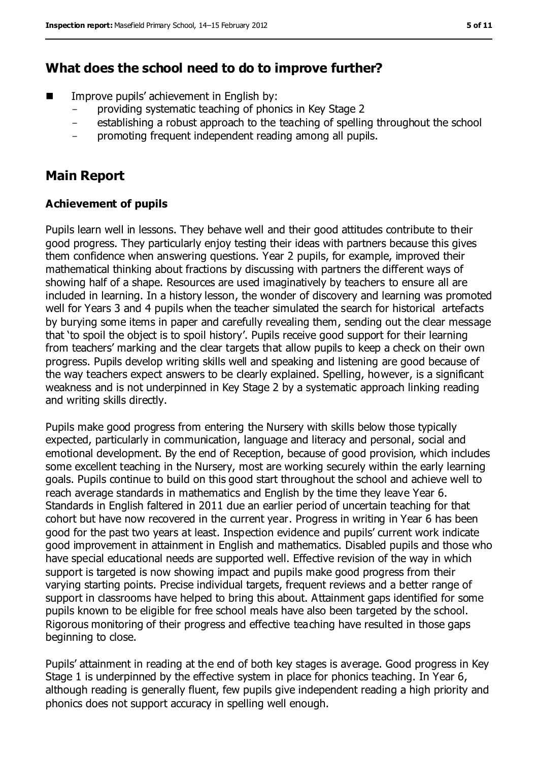### **What does the school need to do to improve further?**

- Improve pupils' achievement in English by:
	- providing systematic teaching of phonics in Key Stage 2
	- establishing a robust approach to the teaching of spelling throughout the school
	- promoting frequent independent reading among all pupils.

## **Main Report**

### **Achievement of pupils**

Pupils learn well in lessons. They behave well and their good attitudes contribute to their good progress. They particularly enjoy testing their ideas with partners because this gives them confidence when answering questions. Year 2 pupils, for example, improved their mathematical thinking about fractions by discussing with partners the different ways of showing half of a shape. Resources are used imaginatively by teachers to ensure all are included in learning. In a history lesson, the wonder of discovery and learning was promoted well for Years 3 and 4 pupils when the teacher simulated the search for historical artefacts by burying some items in paper and carefully revealing them, sending out the clear message that 'to spoil the object is to spoil history'. Pupils receive good support for their learning from teachers' marking and the clear targets that allow pupils to keep a check on their own progress. Pupils develop writing skills well and speaking and listening are good because of the way teachers expect answers to be clearly explained. Spelling, however, is a significant weakness and is not underpinned in Key Stage 2 by a systematic approach linking reading and writing skills directly.

Pupils make good progress from entering the Nursery with skills below those typically expected, particularly in communication, language and literacy and personal, social and emotional development. By the end of Reception, because of good provision, which includes some excellent teaching in the Nursery, most are working securely within the early learning goals. Pupils continue to build on this good start throughout the school and achieve well to reach average standards in mathematics and English by the time they leave Year 6. Standards in English faltered in 2011 due an earlier period of uncertain teaching for that cohort but have now recovered in the current year. Progress in writing in Year 6 has been good for the past two years at least. Inspection evidence and pupils' current work indicate good improvement in attainment in English and mathematics. Disabled pupils and those who have special educational needs are supported well. Effective revision of the way in which support is targeted is now showing impact and pupils make good progress from their varying starting points. Precise individual targets, frequent reviews and a better range of support in classrooms have helped to bring this about. Attainment gaps identified for some pupils known to be eligible for free school meals have also been targeted by the school. Rigorous monitoring of their progress and effective teaching have resulted in those gaps beginning to close.

Pupils' attainment in reading at the end of both key stages is average. Good progress in Key Stage 1 is underpinned by the effective system in place for phonics teaching. In Year 6, although reading is generally fluent, few pupils give independent reading a high priority and phonics does not support accuracy in spelling well enough.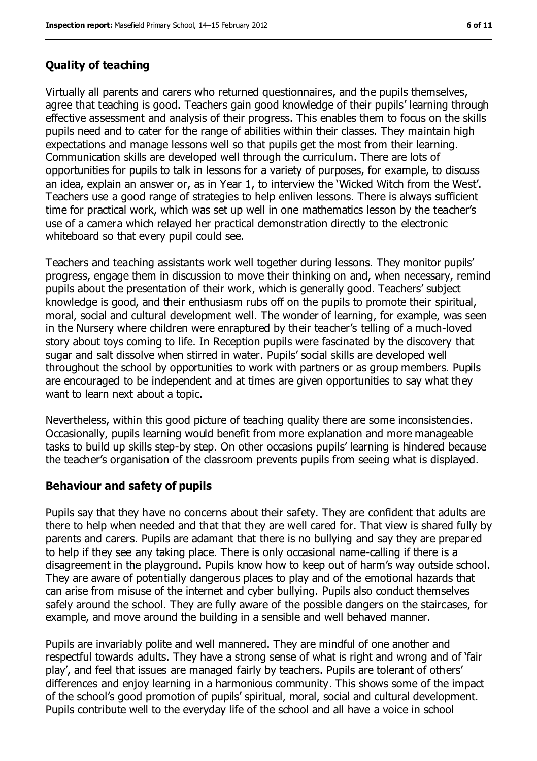#### **Quality of teaching**

Virtually all parents and carers who returned questionnaires, and the pupils themselves, agree that teaching is good. Teachers gain good knowledge of their pupils' learning through effective assessment and analysis of their progress. This enables them to focus on the skills pupils need and to cater for the range of abilities within their classes. They maintain high expectations and manage lessons well so that pupils get the most from their learning. Communication skills are developed well through the curriculum. There are lots of opportunities for pupils to talk in lessons for a variety of purposes, for example, to discuss an idea, explain an answer or, as in Year 1, to interview the 'Wicked Witch from the West'. Teachers use a good range of strategies to help enliven lessons. There is always sufficient time for practical work, which was set up well in one mathematics lesson by the teacher's use of a camera which relayed her practical demonstration directly to the electronic whiteboard so that every pupil could see.

Teachers and teaching assistants work well together during lessons. They monitor pupils' progress, engage them in discussion to move their thinking on and, when necessary, remind pupils about the presentation of their work, which is generally good. Teachers' subject knowledge is good, and their enthusiasm rubs off on the pupils to promote their spiritual, moral, social and cultural development well. The wonder of learning, for example, was seen in the Nursery where children were enraptured by their teacher's telling of a much-loved story about toys coming to life. In Reception pupils were fascinated by the discovery that sugar and salt dissolve when stirred in water. Pupils' social skills are developed well throughout the school by opportunities to work with partners or as group members. Pupils are encouraged to be independent and at times are given opportunities to say what they want to learn next about a topic.

Nevertheless, within this good picture of teaching quality there are some inconsistencies. Occasionally, pupils learning would benefit from more explanation and more manageable tasks to build up skills step-by step. On other occasions pupils' learning is hindered because the teacher's organisation of the classroom prevents pupils from seeing what is displayed.

#### **Behaviour and safety of pupils**

Pupils say that they have no concerns about their safety. They are confident that adults are there to help when needed and that that they are well cared for. That view is shared fully by parents and carers. Pupils are adamant that there is no bullying and say they are prepared to help if they see any taking place. There is only occasional name-calling if there is a disagreement in the playground. Pupils know how to keep out of harm's way outside school. They are aware of potentially dangerous places to play and of the emotional hazards that can arise from misuse of the internet and cyber bullying. Pupils also conduct themselves safely around the school. They are fully aware of the possible dangers on the staircases, for example, and move around the building in a sensible and well behaved manner.

Pupils are invariably polite and well mannered. They are mindful of one another and respectful towards adults. They have a strong sense of what is right and wrong and of 'fair play', and feel that issues are managed fairly by teachers. Pupils are tolerant of others' differences and enjoy learning in a harmonious community. This shows some of the impact of the school's good promotion of pupils' spiritual, moral, social and cultural development. Pupils contribute well to the everyday life of the school and all have a voice in school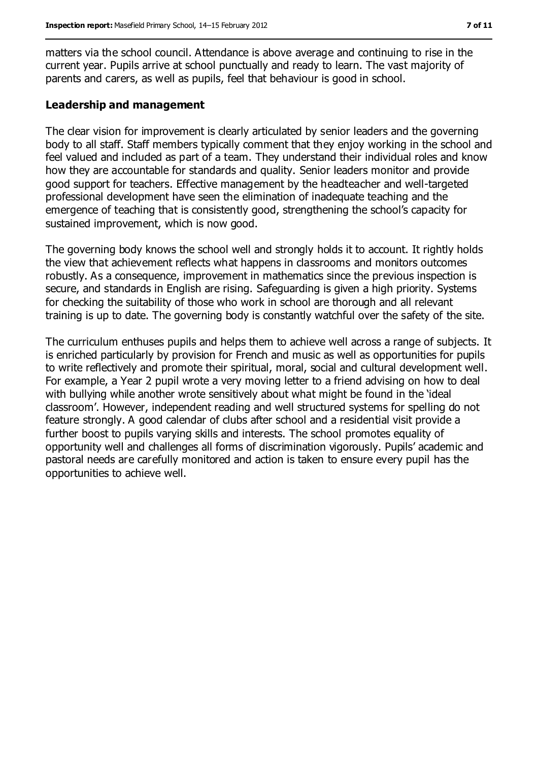matters via the school council. Attendance is above average and continuing to rise in the current year. Pupils arrive at school punctually and ready to learn. The vast majority of parents and carers, as well as pupils, feel that behaviour is good in school.

#### **Leadership and management**

The clear vision for improvement is clearly articulated by senior leaders and the governing body to all staff. Staff members typically comment that they enjoy working in the school and feel valued and included as part of a team. They understand their individual roles and know how they are accountable for standards and quality. Senior leaders monitor and provide good support for teachers. Effective management by the headteacher and well-targeted professional development have seen the elimination of inadequate teaching and the emergence of teaching that is consistently good, strengthening the school's capacity for sustained improvement, which is now good.

The governing body knows the school well and strongly holds it to account. It rightly holds the view that achievement reflects what happens in classrooms and monitors outcomes robustly. As a consequence, improvement in mathematics since the previous inspection is secure, and standards in English are rising. Safeguarding is given a high priority. Systems for checking the suitability of those who work in school are thorough and all relevant training is up to date. The governing body is constantly watchful over the safety of the site.

The curriculum enthuses pupils and helps them to achieve well across a range of subjects. It is enriched particularly by provision for French and music as well as opportunities for pupils to write reflectively and promote their spiritual, moral, social and cultural development well. For example, a Year 2 pupil wrote a very moving letter to a friend advising on how to deal with bullying while another wrote sensitively about what might be found in the 'ideal classroom'. However, independent reading and well structured systems for spelling do not feature strongly. A good calendar of clubs after school and a residential visit provide a further boost to pupils varying skills and interests. The school promotes equality of opportunity well and challenges all forms of discrimination vigorously. Pupils' academic and pastoral needs are carefully monitored and action is taken to ensure every pupil has the opportunities to achieve well.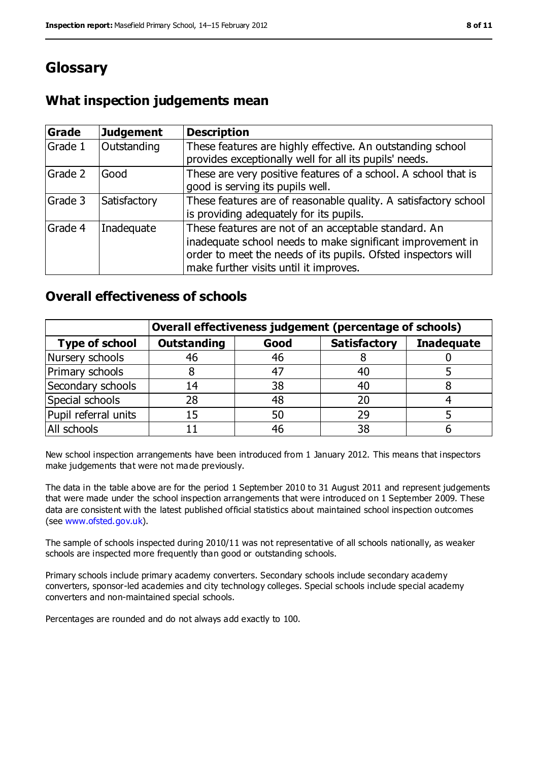## **Glossary**

### **What inspection judgements mean**

| Grade   | <b>Judgement</b> | <b>Description</b>                                                                                                                                                                                                            |
|---------|------------------|-------------------------------------------------------------------------------------------------------------------------------------------------------------------------------------------------------------------------------|
| Grade 1 | Outstanding      | These features are highly effective. An outstanding school<br>provides exceptionally well for all its pupils' needs.                                                                                                          |
| Grade 2 | Good             | These are very positive features of a school. A school that is<br>good is serving its pupils well.                                                                                                                            |
| Grade 3 | Satisfactory     | These features are of reasonable quality. A satisfactory school<br>is providing adequately for its pupils.                                                                                                                    |
| Grade 4 | Inadequate       | These features are not of an acceptable standard. An<br>inadequate school needs to make significant improvement in<br>order to meet the needs of its pupils. Ofsted inspectors will<br>make further visits until it improves. |

### **Overall effectiveness of schools**

|                       | Overall effectiveness judgement (percentage of schools) |      |                     |                   |
|-----------------------|---------------------------------------------------------|------|---------------------|-------------------|
| <b>Type of school</b> | <b>Outstanding</b>                                      | Good | <b>Satisfactory</b> | <b>Inadequate</b> |
| Nursery schools       | 46                                                      | 46   |                     |                   |
| Primary schools       |                                                         | 47   | 40                  |                   |
| Secondary schools     | 14                                                      | 38   | 40                  |                   |
| Special schools       | 28                                                      | 48   | 20                  |                   |
| Pupil referral units  | 15                                                      | 50   | 29                  |                   |
| All schools           |                                                         | 46   | 38                  |                   |

New school inspection arrangements have been introduced from 1 January 2012. This means that inspectors make judgements that were not made previously.

The data in the table above are for the period 1 September 2010 to 31 August 2011 and represent judgements that were made under the school inspection arrangements that were introduced on 1 September 2009. These data are consistent with the latest published official statistics about maintained school inspection outcomes (see [www.ofsted.gov.uk\)](file:///C:/Users/rcowley/AppData/Local/rcowley/AppData/Local/Temp/AppData/Local/Microsoft/Windows/Temporary%20Internet%20Files/Low/Content.IE5/AppData/Local/Microsoft/Windows/Temporary%20Internet%20Files/Low/Content.IE5/M7IGMZHT/www.ofsted.gov.uk).

The sample of schools inspected during 2010/11 was not representative of all schools nationally, as weaker schools are inspected more frequently than good or outstanding schools.

Primary schools include primary academy converters. Secondary schools include secondary academy converters, sponsor-led academies and city technology colleges. Special schools include special academy converters and non-maintained special schools.

Percentages are rounded and do not always add exactly to 100.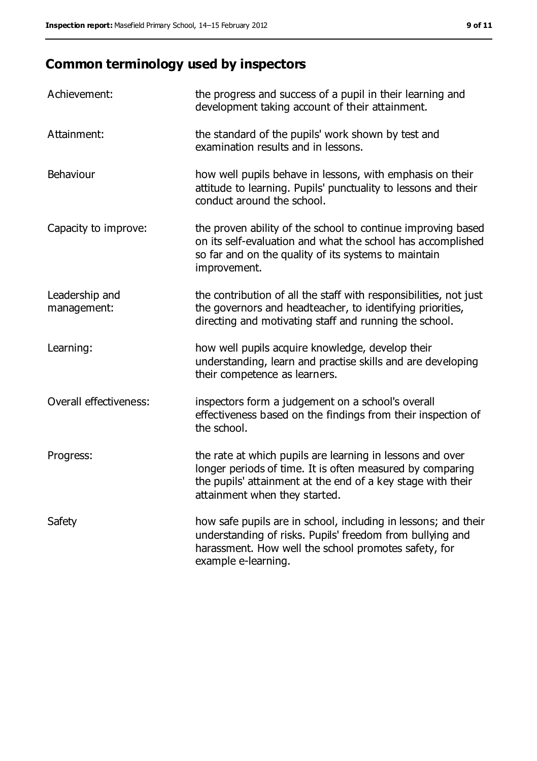## **Common terminology used by inspectors**

| Achievement:                  | the progress and success of a pupil in their learning and<br>development taking account of their attainment.                                                                                                           |
|-------------------------------|------------------------------------------------------------------------------------------------------------------------------------------------------------------------------------------------------------------------|
| Attainment:                   | the standard of the pupils' work shown by test and<br>examination results and in lessons.                                                                                                                              |
| Behaviour                     | how well pupils behave in lessons, with emphasis on their<br>attitude to learning. Pupils' punctuality to lessons and their<br>conduct around the school.                                                              |
| Capacity to improve:          | the proven ability of the school to continue improving based<br>on its self-evaluation and what the school has accomplished<br>so far and on the quality of its systems to maintain<br>improvement.                    |
| Leadership and<br>management: | the contribution of all the staff with responsibilities, not just<br>the governors and headteacher, to identifying priorities,<br>directing and motivating staff and running the school.                               |
| Learning:                     | how well pupils acquire knowledge, develop their<br>understanding, learn and practise skills and are developing<br>their competence as learners.                                                                       |
| Overall effectiveness:        | inspectors form a judgement on a school's overall<br>effectiveness based on the findings from their inspection of<br>the school.                                                                                       |
| Progress:                     | the rate at which pupils are learning in lessons and over<br>longer periods of time. It is often measured by comparing<br>the pupils' attainment at the end of a key stage with their<br>attainment when they started. |
| Safety                        | how safe pupils are in school, including in lessons; and their<br>understanding of risks. Pupils' freedom from bullying and<br>harassment. How well the school promotes safety, for<br>example e-learning.             |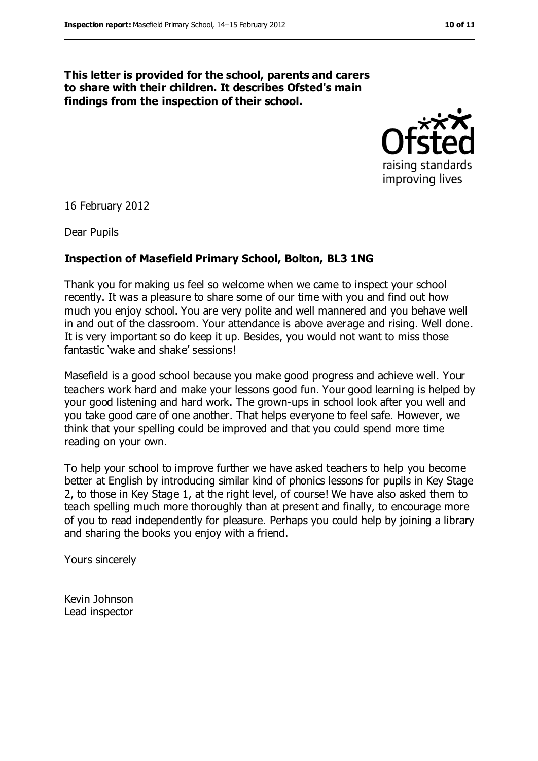#### **This letter is provided for the school, parents and carers to share with their children. It describes Ofsted's main findings from the inspection of their school.**



16 February 2012

Dear Pupils

#### **Inspection of Masefield Primary School, Bolton, BL3 1NG**

Thank you for making us feel so welcome when we came to inspect your school recently. It was a pleasure to share some of our time with you and find out how much you enjoy school. You are very polite and well mannered and you behave well in and out of the classroom. Your attendance is above average and rising. Well done. It is very important so do keep it up. Besides, you would not want to miss those fantastic 'wake and shake' sessions!

Masefield is a good school because you make good progress and achieve well. Your teachers work hard and make your lessons good fun. Your good learning is helped by your good listening and hard work. The grown-ups in school look after you well and you take good care of one another. That helps everyone to feel safe. However, we think that your spelling could be improved and that you could spend more time reading on your own.

To help your school to improve further we have asked teachers to help you become better at English by introducing similar kind of phonics lessons for pupils in Key Stage 2, to those in Key Stage 1, at the right level, of course! We have also asked them to teach spelling much more thoroughly than at present and finally, to encourage more of you to read independently for pleasure. Perhaps you could help by joining a library and sharing the books you enjoy with a friend.

Yours sincerely

Kevin Johnson Lead inspector